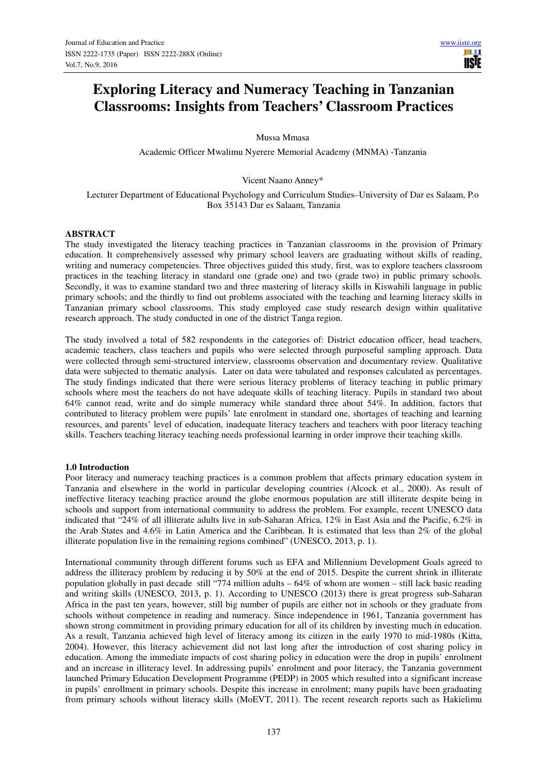# **Exploring Literacy and Numeracy Teaching in Tanzanian Classrooms: Insights from Teachers' Classroom Practices**

Mussa Mmasa

Academic Officer Mwalimu Nyerere Memorial Academy (MNMA) -Tanzania

Vicent Naano Anney\*

Lecturer Department of Educational Psychology and Curriculum Studies–University of Dar es Salaam, P.o Box 35143 Dar es Salaam, Tanzania

#### **ABSTRACT**

The study investigated the literacy teaching practices in Tanzanian classrooms in the provision of Primary education. It comprehensively assessed why primary school leavers are graduating without skills of reading, writing and numeracy competencies. Three objectives guided this study, first, was to explore teachers classroom practices in the teaching literacy in standard one (grade one) and two (grade two) in public primary schools. Secondly, it was to examine standard two and three mastering of literacy skills in Kiswahili language in public primary schools; and the thirdly to find out problems associated with the teaching and learning literacy skills in Tanzanian primary school classrooms. This study employed case study research design within qualitative research approach. The study conducted in one of the district Tanga region.

The study involved a total of 582 respondents in the categories of: District education officer, head teachers, academic teachers, class teachers and pupils who were selected through purposeful sampling approach. Data were collected through semi-structured interview, classrooms observation and documentary review. Qualitative data were subjected to thematic analysis. Later on data were tabulated and responses calculated as percentages. The study findings indicated that there were serious literacy problems of literacy teaching in public primary schools where most the teachers do not have adequate skills of teaching literacy. Pupils in standard two about 64% cannot read, write and do simple numeracy while standard three about 54%. In addition, factors that contributed to literacy problem were pupils' late enrolment in standard one, shortages of teaching and learning resources, and parents' level of education, inadequate literacy teachers and teachers with poor literacy teaching skills. Teachers teaching literacy teaching needs professional learning in order improve their teaching skills.

#### **1.0 Introduction**

Poor literacy and numeracy teaching practices is a common problem that affects primary education system in Tanzania and elsewhere in the world in particular developing countries (Alcock et al., 2000). As result of ineffective literacy teaching practice around the globe enormous population are still illiterate despite being in schools and support from international community to address the problem. For example, recent UNESCO data indicated that "24% of all illiterate adults live in sub-Saharan Africa, 12% in East Asia and the Pacific, 6.2% in the Arab States and 4.6% in Latin America and the Caribbean. It is estimated that less than 2% of the global illiterate population live in the remaining regions combined" (UNESCO, 2013, p. 1).

International community through different forums such as EFA and Millennium Development Goals agreed to address the illiteracy problem by reducing it by 50% at the end of 2015. Despite the current shrink in illiterate population globally in past decade still "774 million adults – 64% of whom are women – still lack basic reading and writing skills (UNESCO, 2013, p. 1). According to UNESCO (2013) there is great progress sub-Saharan Africa in the past ten years, however, still big number of pupils are either not in schools or they graduate from schools without competence in reading and numeracy. Since independence in 1961, Tanzania government has shown strong commitment in providing primary education for all of its children by investing much in education. As a result, Tanzania achieved high level of literacy among its citizen in the early 1970 to mid-1980s (Kitta, 2004). However, this literacy achievement did not last long after the introduction of cost sharing policy in education. Among the immediate impacts of cost sharing policy in education were the drop in pupils' enrolment and an increase in illiteracy level. In addressing pupils' enrolment and poor literacy, the Tanzania government launched Primary Education Development Programme (PEDP) in 2005 which resulted into a significant increase in pupils' enrollment in primary schools. Despite this increase in enrolment; many pupils have been graduating from primary schools without literacy skills (MoEVT, 2011). The recent research reports such as Hakielimu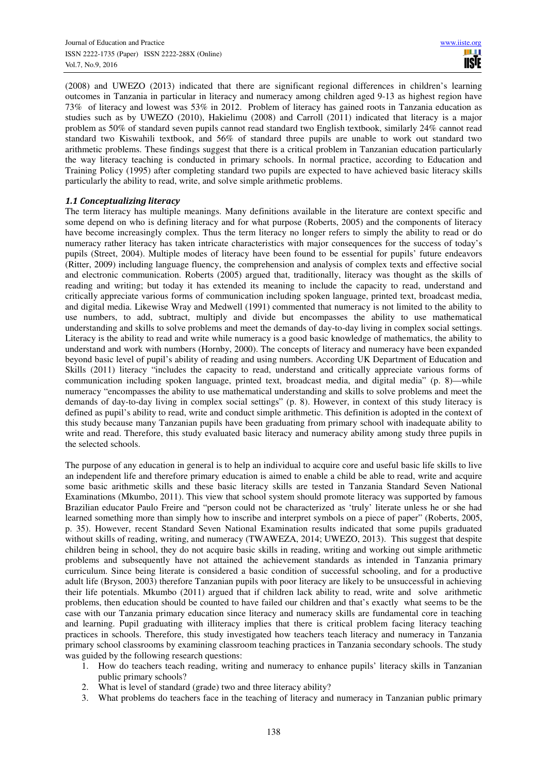(2008) and UWEZO (2013) indicated that there are significant regional differences in children's learning outcomes in Tanzania in particular in literacy and numeracy among children aged 9-13 as highest region have 73% of literacy and lowest was 53% in 2012. Problem of literacy has gained roots in Tanzania education as studies such as by UWEZO (2010), Hakielimu (2008) and Carroll (2011) indicated that literacy is a major problem as 50% of standard seven pupils cannot read standard two English textbook, similarly 24% cannot read standard two Kiswahili textbook, and 56% of standard three pupils are unable to work out standard two arithmetic problems. These findings suggest that there is a critical problem in Tanzanian education particularly the way literacy teaching is conducted in primary schools. In normal practice, according to Education and Training Policy (1995) after completing standard two pupils are expected to have achieved basic literacy skills particularly the ability to read, write, and solve simple arithmetic problems.

## *1.1 Conceptualizing literacy*

The term literacy has multiple meanings. Many definitions available in the literature are context specific and some depend on who is defining literacy and for what purpose (Roberts, 2005) and the components of literacy have become increasingly complex. Thus the term literacy no longer refers to simply the ability to read or do numeracy rather literacy has taken intricate characteristics with major consequences for the success of today's pupils (Street, 2004). Multiple modes of literacy have been found to be essential for pupils' future endeavors (Ritter, 2009) including language fluency, the comprehension and analysis of complex texts and effective social and electronic communication. Roberts (2005) argued that, traditionally, literacy was thought as the skills of reading and writing; but today it has extended its meaning to include the capacity to read, understand and critically appreciate various forms of communication including spoken language, printed text, broadcast media, and digital media. Likewise Wray and Medwell (1991) commented that numeracy is not limited to the ability to use numbers, to add, subtract, multiply and divide but encompasses the ability to use mathematical understanding and skills to solve problems and meet the demands of day-to-day living in complex social settings. Literacy is the ability to read and write while numeracy is a good basic knowledge of mathematics, the ability to understand and work with numbers (Hornby, 2000). The concepts of literacy and numeracy have been expanded beyond basic level of pupil's ability of reading and using numbers. According UK Department of Education and Skills (2011) literacy "includes the capacity to read, understand and critically appreciate various forms of communication including spoken language, printed text, broadcast media, and digital media" (p. 8)—while numeracy "encompasses the ability to use mathematical understanding and skills to solve problems and meet the demands of day-to-day living in complex social settings" (p. 8). However, in context of this study literacy is defined as pupil's ability to read, write and conduct simple arithmetic. This definition is adopted in the context of this study because many Tanzanian pupils have been graduating from primary school with inadequate ability to write and read. Therefore, this study evaluated basic literacy and numeracy ability among study three pupils in the selected schools.

The purpose of any education in general is to help an individual to acquire core and useful basic life skills to live an independent life and therefore primary education is aimed to enable a child be able to read, write and acquire some basic arithmetic skills and these basic literacy skills are tested in Tanzania Standard Seven National Examinations (Mkumbo, 2011). This view that school system should promote literacy was supported by famous Brazilian educator Paulo Freire and "person could not be characterized as 'truly' literate unless he or she had learned something more than simply how to inscribe and interpret symbols on a piece of paper" (Roberts, 2005, p. 35). However, recent Standard Seven National Examination results indicated that some pupils graduated without skills of reading, writing, and numeracy (TWAWEZA, 2014; UWEZO, 2013). This suggest that despite children being in school, they do not acquire basic skills in reading, writing and working out simple arithmetic problems and subsequently have not attained the achievement standards as intended in Tanzania primary curriculum. Since being literate is considered a basic condition of successful schooling, and for a productive adult life (Bryson, 2003) therefore Tanzanian pupils with poor literacy are likely to be unsuccessful in achieving their life potentials. Mkumbo (2011) argued that if children lack ability to read, write and solve arithmetic problems, then education should be counted to have failed our children and that's exactly what seems to be the case with our Tanzania primary education since literacy and numeracy skills are fundamental core in teaching and learning. Pupil graduating with illiteracy implies that there is critical problem facing literacy teaching practices in schools. Therefore, this study investigated how teachers teach literacy and numeracy in Tanzania primary school classrooms by examining classroom teaching practices in Tanzania secondary schools. The study was guided by the following research questions:

- 1. How do teachers teach reading, writing and numeracy to enhance pupils' literacy skills in Tanzanian public primary schools?
- 2. What is level of standard (grade) two and three literacy ability?
- 3. What problems do teachers face in the teaching of literacy and numeracy in Tanzanian public primary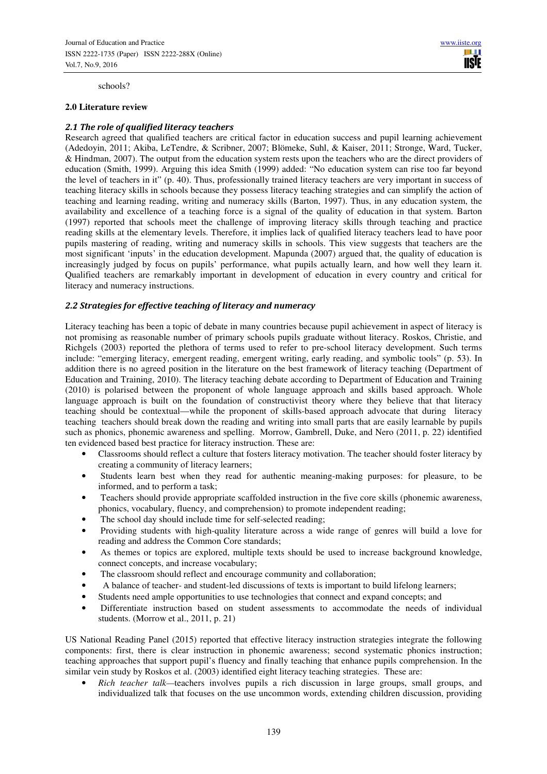schools?

#### **2.0 Literature review**

## *2.1 The role of qualified literacy teachers*

Research agreed that qualified teachers are critical factor in education success and pupil learning achievement (Adedoyin, 2011; Akiba, LeTendre, & Scribner, 2007; Blömeke, Suhl, & Kaiser, 2011; Stronge, Ward, Tucker, & Hindman, 2007). The output from the education system rests upon the teachers who are the direct providers of education (Smith, 1999). Arguing this idea Smith (1999) added: "No education system can rise too far beyond the level of teachers in it" (p. 40). Thus, professionally trained literacy teachers are very important in success of teaching literacy skills in schools because they possess literacy teaching strategies and can simplify the action of teaching and learning reading, writing and numeracy skills (Barton, 1997). Thus, in any education system, the availability and excellence of a teaching force is a signal of the quality of education in that system. Barton (1997) reported that schools meet the challenge of improving literacy skills through teaching and practice reading skills at the elementary levels. Therefore, it implies lack of qualified literacy teachers lead to have poor pupils mastering of reading, writing and numeracy skills in schools. This view suggests that teachers are the most significant 'inputs' in the education development. Mapunda (2007) argued that, the quality of education is increasingly judged by focus on pupils' performance, what pupils actually learn, and how well they learn it. Qualified teachers are remarkably important in development of education in every country and critical for literacy and numeracy instructions.

#### *2.2 Strategies for effective teaching of literacy and numeracy*

Literacy teaching has been a topic of debate in many countries because pupil achievement in aspect of literacy is not promising as reasonable number of primary schools pupils graduate without literacy. Roskos, Christie, and Richgels (2003) reported the plethora of terms used to refer to pre-school literacy development. Such terms include: "emerging literacy, emergent reading, emergent writing, early reading, and symbolic tools" (p. 53). In addition there is no agreed position in the literature on the best framework of literacy teaching (Department of Education and Training, 2010). The literacy teaching debate according to Department of Education and Training (2010) is polarised between the proponent of whole language approach and skills based approach. Whole language approach is built on the foundation of constructivist theory where they believe that that literacy teaching should be contextual—while the proponent of skills-based approach advocate that during literacy teaching teachers should break down the reading and writing into small parts that are easily learnable by pupils such as phonics, phonemic awareness and spelling. Morrow, Gambrell, Duke, and Nero (2011, p. 22) identified ten evidenced based best practice for literacy instruction. These are:

- Classrooms should reflect a culture that fosters literacy motivation. The teacher should foster literacy by creating a community of literacy learners;
- Students learn best when they read for authentic meaning-making purposes: for pleasure, to be informed, and to perform a task;
- Teachers should provide appropriate scaffolded instruction in the five core skills (phonemic awareness, phonics, vocabulary, fluency, and comprehension) to promote independent reading;
- The school day should include time for self-selected reading;
- Providing students with high-quality literature across a wide range of genres will build a love for reading and address the Common Core standards;
- As themes or topics are explored, multiple texts should be used to increase background knowledge, connect concepts, and increase vocabulary;
- The classroom should reflect and encourage community and collaboration;
- A balance of teacher- and student-led discussions of texts is important to build lifelong learners;
- Students need ample opportunities to use technologies that connect and expand concepts; and
- Differentiate instruction based on student assessments to accommodate the needs of individual students. (Morrow et al., 2011, p. 21)

US National Reading Panel (2015) reported that effective literacy instruction strategies integrate the following components: first, there is clear instruction in phonemic awareness; second systematic phonics instruction; teaching approaches that support pupil's fluency and finally teaching that enhance pupils comprehension. In the similar vein study by Roskos et al. (2003) identified eight literacy teaching strategies. These are:

• *Rich teacher talk—*teachers involves pupils a rich discussion in large groups, small groups, and individualized talk that focuses on the use uncommon words, extending children discussion, providing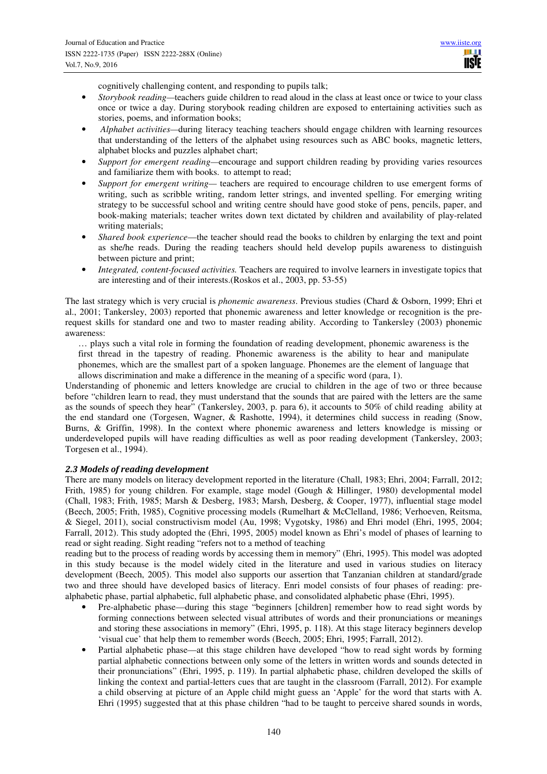**TISIE** 

cognitively challenging content, and responding to pupils talk;

- *Storybook reading*—teachers guide children to read aloud in the class at least once or twice to your class once or twice a day. During storybook reading children are exposed to entertaining activities such as stories, poems, and information books;
- • *Alphabet activities—*during literacy teaching teachers should engage children with learning resources that understanding of the letters of the alphabet using resources such as ABC books, magnetic letters, alphabet blocks and puzzles alphabet chart;
- *Support for emergent reading—*encourage and support children reading by providing varies resources and familiarize them with books. to attempt to read;
- *Support for emergent writing—* teachers are required to encourage children to use emergent forms of writing, such as scribble writing, random letter strings, and invented spelling. For emerging writing strategy to be successful school and writing centre should have good stoke of pens, pencils, paper, and book-making materials; teacher writes down text dictated by children and availability of play-related writing materials;
- *Shared book experience*—the teacher should read the books to children by enlarging the text and point as she/he reads. During the reading teachers should held develop pupils awareness to distinguish between picture and print;
- *Integrated, content-focused activities.* Teachers are required to involve learners in investigate topics that are interesting and of their interests.(Roskos et al., 2003, pp. 53-55)

The last strategy which is very crucial is *phonemic awareness*. Previous studies (Chard & Osborn, 1999; Ehri et al., 2001; Tankersley, 2003) reported that phonemic awareness and letter knowledge or recognition is the prerequest skills for standard one and two to master reading ability. According to Tankersley (2003) phonemic awareness:

… plays such a vital role in forming the foundation of reading development, phonemic awareness is the first thread in the tapestry of reading. Phonemic awareness is the ability to hear and manipulate phonemes, which are the smallest part of a spoken language. Phonemes are the element of language that allows discrimination and make a difference in the meaning of a specific word (para, 1).

Understanding of phonemic and letters knowledge are crucial to children in the age of two or three because before "children learn to read, they must understand that the sounds that are paired with the letters are the same as the sounds of speech they hear" (Tankersley, 2003, p. para 6), it accounts to 50% of child reading ability at the end standard one (Torgesen, Wagner, & Rashotte, 1994), it determines child success in reading (Snow, Burns, & Griffin, 1998). In the context where phonemic awareness and letters knowledge is missing or underdeveloped pupils will have reading difficulties as well as poor reading development (Tankersley, 2003; Torgesen et al., 1994).

## *2.3 Models of reading development*

There are many models on literacy development reported in the literature (Chall, 1983; Ehri, 2004; Farrall, 2012; Frith, 1985) for young children. For example, stage model (Gough & Hillinger, 1980) developmental model (Chall, 1983; Frith, 1985; Marsh & Desberg, 1983; Marsh, Desberg, & Cooper, 1977), influential stage model (Beech, 2005; Frith, 1985), Cognitive processing models (Rumelhart & McClelland, 1986; Verhoeven, Reitsma, & Siegel, 2011), social constructivism model (Au, 1998; Vygotsky, 1986) and Ehri model (Ehri, 1995, 2004; Farrall, 2012). This study adopted the (Ehri, 1995, 2005) model known as Ehri's model of phases of learning to read or sight reading. Sight reading "refers not to a method of teaching

reading but to the process of reading words by accessing them in memory" (Ehri, 1995). This model was adopted in this study because is the model widely cited in the literature and used in various studies on literacy development (Beech, 2005). This model also supports our assertion that Tanzanian children at standard/grade two and three should have developed basics of literacy. Enri model consists of four phases of reading: prealphabetic phase, partial alphabetic, full alphabetic phase, and consolidated alphabetic phase (Ehri, 1995).

- Pre-alphabetic phase—during this stage "beginners [children] remember how to read sight words by forming connections between selected visual attributes of words and their pronunciations or meanings and storing these associations in memory" (Ehri, 1995, p. 118). At this stage literacy beginners develop 'visual cue' that help them to remember words (Beech, 2005; Ehri, 1995; Farrall, 2012).
- Partial alphabetic phase—at this stage children have developed "how to read sight words by forming partial alphabetic connections between only some of the letters in written words and sounds detected in their pronunciations" (Ehri, 1995, p. 119). In partial alphabetic phase, children developed the skills of linking the context and partial-letters cues that are taught in the classroom (Farrall, 2012). For example a child observing at picture of an Apple child might guess an 'Apple' for the word that starts with A. Ehri (1995) suggested that at this phase children "had to be taught to perceive shared sounds in words,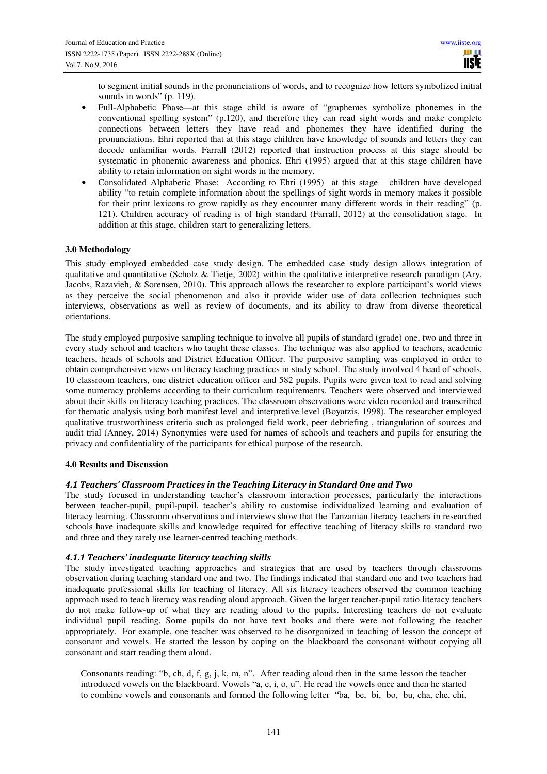to segment initial sounds in the pronunciations of words, and to recognize how letters symbolized initial sounds in words" (p. 119).

- Full-Alphabetic Phase—at this stage child is aware of "graphemes symbolize phonemes in the conventional spelling system" (p.120), and therefore they can read sight words and make complete connections between letters they have read and phonemes they have identified during the pronunciations. Ehri reported that at this stage children have knowledge of sounds and letters they can decode unfamiliar words. Farrall (2012) reported that instruction process at this stage should be systematic in phonemic awareness and phonics. Ehri (1995) argued that at this stage children have ability to retain information on sight words in the memory.
- Consolidated Alphabetic Phase: According to Ehri (1995) at this stage children have developed ability "to retain complete information about the spellings of sight words in memory makes it possible for their print lexicons to grow rapidly as they encounter many different words in their reading" (p. 121). Children accuracy of reading is of high standard (Farrall, 2012) at the consolidation stage. In addition at this stage, children start to generalizing letters.

## **3.0 Methodology**

This study employed embedded case study design. The embedded case study design allows integration of qualitative and quantitative (Scholz & Tietje, 2002) within the qualitative interpretive research paradigm (Ary, Jacobs, Razavieh, & Sorensen, 2010). This approach allows the researcher to explore participant's world views as they perceive the social phenomenon and also it provide wider use of data collection techniques such interviews, observations as well as review of documents, and its ability to draw from diverse theoretical orientations.

The study employed purposive sampling technique to involve all pupils of standard (grade) one, two and three in every study school and teachers who taught these classes. The technique was also applied to teachers, academic teachers, heads of schools and District Education Officer. The purposive sampling was employed in order to obtain comprehensive views on literacy teaching practices in study school. The study involved 4 head of schools, 10 classroom teachers, one district education officer and 582 pupils. Pupils were given text to read and solving some numeracy problems according to their curriculum requirements. Teachers were observed and interviewed about their skills on literacy teaching practices. The classroom observations were video recorded and transcribed for thematic analysis using both manifest level and interpretive level (Boyatzis, 1998). The researcher employed qualitative trustworthiness criteria such as prolonged field work, peer debriefing , triangulation of sources and audit trial (Anney, 2014) Synonymies were used for names of schools and teachers and pupils for ensuring the privacy and confidentiality of the participants for ethical purpose of the research.

## **4.0 Results and Discussion**

## *4.1 Teachers' Classroom Practices in the Teaching Literacy in Standard One and Two*

The study focused in understanding teacher's classroom interaction processes, particularly the interactions between teacher-pupil, pupil-pupil, teacher's ability to customise individualized learning and evaluation of literacy learning. Classroom observations and interviews show that the Tanzanian literacy teachers in researched schools have inadequate skills and knowledge required for effective teaching of literacy skills to standard two and three and they rarely use learner-centred teaching methods.

## *4.1.1 Teachers' inadequate literacy teaching skills*

The study investigated teaching approaches and strategies that are used by teachers through classrooms observation during teaching standard one and two. The findings indicated that standard one and two teachers had inadequate professional skills for teaching of literacy. All six literacy teachers observed the common teaching approach used to teach literacy was reading aloud approach. Given the larger teacher-pupil ratio literacy teachers do not make follow-up of what they are reading aloud to the pupils. Interesting teachers do not evaluate individual pupil reading. Some pupils do not have text books and there were not following the teacher appropriately. For example, one teacher was observed to be disorganized in teaching of lesson the concept of consonant and vowels. He started the lesson by coping on the blackboard the consonant without copying all consonant and start reading them aloud.

Consonants reading: "b, ch, d, f, g, j, k, m, n". After reading aloud then in the same lesson the teacher introduced vowels on the blackboard. Vowels "a, e, i, o, u". He read the vowels once and then he started to combine vowels and consonants and formed the following letter "ba, be, bi, bo, bu, cha, che, chi,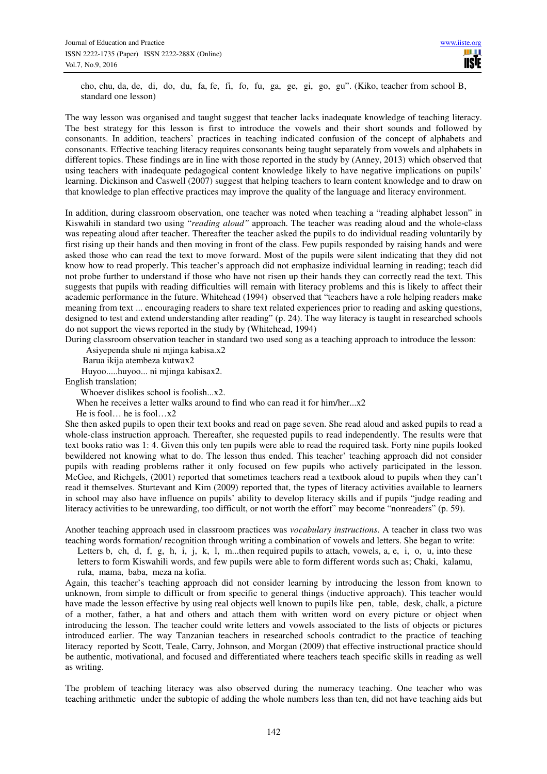cho, chu, da, de, di, do, du, fa, fe, fi, fo, fu, ga, ge, gi, go, gu". (Kiko, teacher from school B, standard one lesson)

The way lesson was organised and taught suggest that teacher lacks inadequate knowledge of teaching literacy. The best strategy for this lesson is first to introduce the vowels and their short sounds and followed by consonants. In addition, teachers' practices in teaching indicated confusion of the concept of alphabets and consonants. Effective teaching literacy requires consonants being taught separately from vowels and alphabets in different topics. These findings are in line with those reported in the study by (Anney, 2013) which observed that using teachers with inadequate pedagogical content knowledge likely to have negative implications on pupils' learning. Dickinson and Caswell (2007) suggest that helping teachers to learn content knowledge and to draw on that knowledge to plan effective practices may improve the quality of the language and literacy environment.

In addition, during classroom observation, one teacher was noted when teaching a "reading alphabet lesson" in Kiswahili in standard two using "*reading aloud"* approach. The teacher was reading aloud and the whole-class was repeating aloud after teacher. Thereafter the teacher asked the pupils to do individual reading voluntarily by first rising up their hands and then moving in front of the class. Few pupils responded by raising hands and were asked those who can read the text to move forward. Most of the pupils were silent indicating that they did not know how to read properly. This teacher's approach did not emphasize individual learning in reading; teach did not probe further to understand if those who have not risen up their hands they can correctly read the text. This suggests that pupils with reading difficulties will remain with literacy problems and this is likely to affect their academic performance in the future. Whitehead (1994) observed that "teachers have a role helping readers make meaning from text ... encouraging readers to share text related experiences prior to reading and asking questions, designed to test and extend understanding after reading" (p. 24). The way literacy is taught in researched schools do not support the views reported in the study by (Whitehead, 1994)

During classroom observation teacher in standard two used song as a teaching approach to introduce the lesson:

Asiyependa shule ni mjinga kabisa.x2

Barua ikija atembeza kutwax2

Huyoo.....huyoo... ni mjinga kabisax2.

English translation;

Whoever dislikes school is foolish...x2.

When he receives a letter walks around to find who can read it for him/her...x2

He is fool… he is fool…x2

She then asked pupils to open their text books and read on page seven. She read aloud and asked pupils to read a whole-class instruction approach. Thereafter, she requested pupils to read independently. The results were that text books ratio was 1: 4. Given this only ten pupils were able to read the required task. Forty nine pupils looked bewildered not knowing what to do. The lesson thus ended. This teacher' teaching approach did not consider pupils with reading problems rather it only focused on few pupils who actively participated in the lesson. McGee, and Richgels, (2001) reported that sometimes teachers read a textbook aloud to pupils when they can't read it themselves. Sturtevant and Kim (2009) reported that, the types of literacy activities available to learners in school may also have influence on pupils' ability to develop literacy skills and if pupils "judge reading and literacy activities to be unrewarding, too difficult, or not worth the effort" may become "nonreaders" (p. 59).

Another teaching approach used in classroom practices was *vocabulary instructions*. A teacher in class two was teaching words formation/ recognition through writing a combination of vowels and letters. She began to write:

Letters b, ch, d, f, g, h, i, j, k, l, m...then required pupils to attach, vowels, a, e, i, o, u, into these letters to form Kiswahili words, and few pupils were able to form different words such as; Chaki, kalamu, rula, mama, baba, meza na kofia.

Again, this teacher's teaching approach did not consider learning by introducing the lesson from known to unknown, from simple to difficult or from specific to general things (inductive approach). This teacher would have made the lesson effective by using real objects well known to pupils like pen, table, desk, chalk, a picture of a mother, father, a hat and others and attach them with written word on every picture or object when introducing the lesson. The teacher could write letters and vowels associated to the lists of objects or pictures introduced earlier. The way Tanzanian teachers in researched schools contradict to the practice of teaching literacy reported by Scott, Teale, Carry, Johnson, and Morgan (2009) that effective instructional practice should be authentic, motivational, and focused and differentiated where teachers teach specific skills in reading as well as writing.

The problem of teaching literacy was also observed during the numeracy teaching. One teacher who was teaching arithmetic under the subtopic of adding the whole numbers less than ten, did not have teaching aids but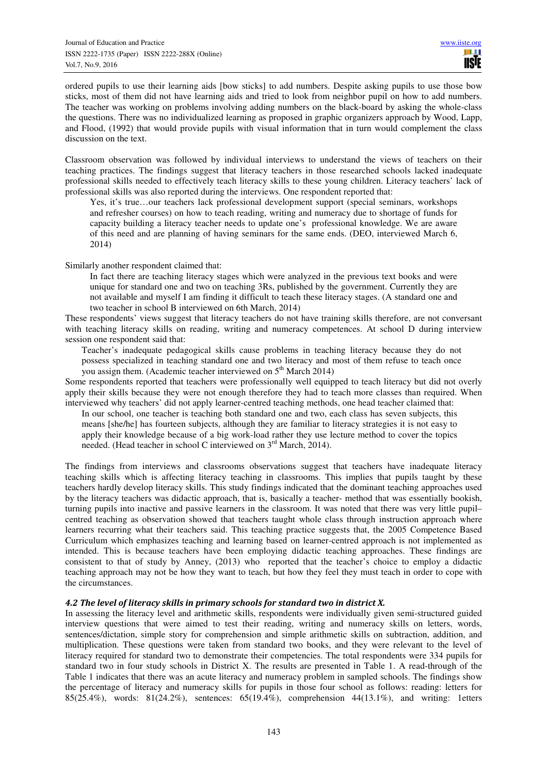ordered pupils to use their learning aids [bow sticks] to add numbers. Despite asking pupils to use those bow sticks, most of them did not have learning aids and tried to look from neighbor pupil on how to add numbers. The teacher was working on problems involving adding numbers on the black-board by asking the whole-class the questions. There was no individualized learning as proposed in graphic organizers approach by Wood, Lapp, and Flood, (1992) that would provide pupils with visual information that in turn would complement the class discussion on the text.

Classroom observation was followed by individual interviews to understand the views of teachers on their teaching practices. The findings suggest that literacy teachers in those researched schools lacked inadequate professional skills needed to effectively teach literacy skills to these young children. Literacy teachers' lack of professional skills was also reported during the interviews. One respondent reported that:

Yes, it's true…our teachers lack professional development support (special seminars, workshops and refresher courses) on how to teach reading, writing and numeracy due to shortage of funds for capacity building a literacy teacher needs to update one's professional knowledge. We are aware of this need and are planning of having seminars for the same ends. (DEO, interviewed March 6, 2014)

Similarly another respondent claimed that:

In fact there are teaching literacy stages which were analyzed in the previous text books and were unique for standard one and two on teaching 3Rs, published by the government. Currently they are not available and myself I am finding it difficult to teach these literacy stages. (A standard one and two teacher in school B interviewed on 6th March, 2014)

These respondents' views suggest that literacy teachers do not have training skills therefore, are not conversant with teaching literacy skills on reading, writing and numeracy competences. At school D during interview session one respondent said that:

Teacher's inadequate pedagogical skills cause problems in teaching literacy because they do not possess specialized in teaching standard one and two literacy and most of them refuse to teach once you assign them. (Academic teacher interviewed on  $5<sup>th</sup>$  March 2014)

Some respondents reported that teachers were professionally well equipped to teach literacy but did not overly apply their skills because they were not enough therefore they had to teach more classes than required. When interviewed why teachers' did not apply learner-centred teaching methods, one head teacher claimed that:

In our school, one teacher is teaching both standard one and two, each class has seven subjects, this means [she/he] has fourteen subjects, although they are familiar to literacy strategies it is not easy to apply their knowledge because of a big work-load rather they use lecture method to cover the topics needed. (Head teacher in school C interviewed on 3<sup>rd</sup> March, 2014).

The findings from interviews and classrooms observations suggest that teachers have inadequate literacy teaching skills which is affecting literacy teaching in classrooms. This implies that pupils taught by these teachers hardly develop literacy skills. This study findings indicated that the dominant teaching approaches used by the literacy teachers was didactic approach, that is, basically a teacher- method that was essentially bookish, turning pupils into inactive and passive learners in the classroom. It was noted that there was very little pupil– centred teaching as observation showed that teachers taught whole class through instruction approach where learners recurring what their teachers said. This teaching practice suggests that, the 2005 Competence Based Curriculum which emphasizes teaching and learning based on learner-centred approach is not implemented as intended. This is because teachers have been employing didactic teaching approaches. These findings are consistent to that of study by Anney, (2013) who reported that the teacher's choice to employ a didactic teaching approach may not be how they want to teach, but how they feel they must teach in order to cope with the circumstances.

## *4.2 The level of literacy skills in primary schools for standard two in district X.*

In assessing the literacy level and arithmetic skills, respondents were individually given semi-structured guided interview questions that were aimed to test their reading, writing and numeracy skills on letters, words, sentences/dictation, simple story for comprehension and simple arithmetic skills on subtraction, addition, and multiplication. These questions were taken from standard two books, and they were relevant to the level of literacy required for standard two to demonstrate their competencies. The total respondents were 334 pupils for standard two in four study schools in District X. The results are presented in Table 1. A read-through of the Table 1 indicates that there was an acute literacy and numeracy problem in sampled schools. The findings show the percentage of literacy and numeracy skills for pupils in those four school as follows: reading: letters for 85(25.4%), words: 81(24.2%), sentences: 65(19.4%), comprehension 44(13.1%), and writing: 1etters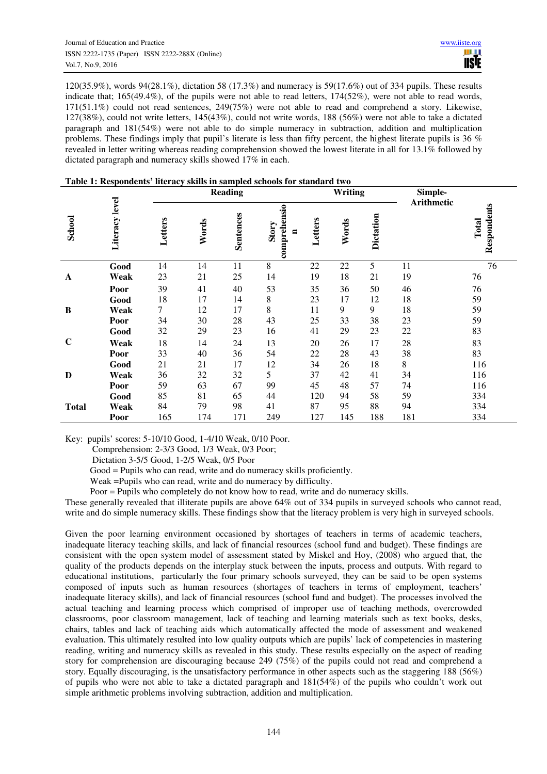120(35.9%), words 94(28.1%), dictation 58 (17.3%) and numeracy is 59(17.6%) out of 334 pupils. These results indicate that; 165(49.4%), of the pupils were not able to read letters, 174(52%), were not able to read words, 171(51.1%) could not read sentences, 249(75%) were not able to read and comprehend a story. Likewise, 127(38%), could not write letters, 145(43%), could not write words, 188 (56%) were not able to take a dictated paragraph and 181(54%) were not able to do simple numeracy in subtraction, addition and multiplication problems. These findings imply that pupil's literate is less than fifty percent, the highest literate pupils is 36 % revealed in letter writing whereas reading comprehension showed the lowest literate in all for 13.1% followed by dictated paragraph and numeracy skills showed 17% in each.

|               | Literacy level |         | <b>Reading</b> |                  |                            |         | Writing |           | Simple-           |                      |
|---------------|----------------|---------|----------------|------------------|----------------------------|---------|---------|-----------|-------------------|----------------------|
| <b>School</b> |                | Letters | Words          | <b>Sentences</b> | comprehensio<br>Story<br>Ξ | Letters | Words   | Dictation | <b>Arithmetic</b> | Respondents<br>Total |
|               | Good           | 14      | 14             | 11               | 8                          | 22      | 22      | 5         | 11                | 76                   |
| $\mathbf{A}$  | Weak           | 23      | 21             | 25               | 14                         | 19      | 18      | 21        | 19                | 76                   |
|               | Poor           | 39      | 41             | 40               | 53                         | 35      | 36      | 50        | 46                | 76                   |
|               | Good           | 18      | 17             | 14               | 8                          | 23      | 17      | 12        | 18                | 59                   |
| B             | Weak           | 7       | 12             | 17               | 8                          | 11      | 9       | 9         | 18                | 59                   |
|               | Poor           | 34      | 30             | 28               | 43                         | 25      | 33      | 38        | 23                | 59                   |
|               | Good           | 32      | 29             | 23               | 16                         | 41      | 29      | 23        | 22                | 83                   |
| $\mathbf C$   | Weak           | 18      | 14             | 24               | 13                         | 20      | 26      | 17        | 28                | 83                   |
|               | Poor           | 33      | 40             | 36               | 54                         | 22      | 28      | 43        | 38                | 83                   |
|               | Good           | 21      | 21             | 17               | 12                         | 34      | 26      | 18        | 8                 | 116                  |
| D             | Weak           | 36      | 32             | 32               | 5                          | 37      | 42      | 41        | 34                | 116                  |
|               | Poor           | 59      | 63             | 67               | 99                         | 45      | 48      | 57        | 74                | 116                  |
|               | Good           | 85      | 81             | 65               | 44                         | 120     | 94      | 58        | 59                | 334                  |
| <b>Total</b>  | Weak           | 84      | 79             | 98               | 41                         | 87      | 95      | 88        | 94                | 334                  |
|               | Poor           | 165     | 174            | 171              | 249                        | 127     | 145     | 188       | 181               | 334                  |

#### **Table 1: Respondents' literacy skills in sampled schools for standard two**

Key: pupils' scores: 5-10/10 Good, 1-4/10 Weak, 0/10 Poor.

Comprehension: 2-3/3 Good, 1/3 Weak, 0/3 Poor;

Dictation 3-5/5 Good, 1-2/5 Weak, 0/5 Poor

Good = Pupils who can read, write and do numeracy skills proficiently.

Weak =Pupils who can read, write and do numeracy by difficulty.

Poor = Pupils who completely do not know how to read, write and do numeracy skills.

These generally revealed that illiterate pupils are above 64% out of 334 pupils in surveyed schools who cannot read, write and do simple numeracy skills. These findings show that the literacy problem is very high in surveyed schools.

Given the poor learning environment occasioned by shortages of teachers in terms of academic teachers, inadequate literacy teaching skills, and lack of financial resources (school fund and budget). These findings are consistent with the open system model of assessment stated by Miskel and Hoy, (2008) who argued that, the quality of the products depends on the interplay stuck between the inputs, process and outputs. With regard to educational institutions, particularly the four primary schools surveyed, they can be said to be open systems composed of inputs such as human resources (shortages of teachers in terms of employment, teachers' inadequate literacy skills), and lack of financial resources (school fund and budget). The processes involved the actual teaching and learning process which comprised of improper use of teaching methods, overcrowded classrooms, poor classroom management, lack of teaching and learning materials such as text books, desks, chairs, tables and lack of teaching aids which automatically affected the mode of assessment and weakened evaluation. This ultimately resulted into low quality outputs which are pupils' lack of competencies in mastering reading, writing and numeracy skills as revealed in this study. These results especially on the aspect of reading story for comprehension are discouraging because 249 (75%) of the pupils could not read and comprehend a story. Equally discouraging, is the unsatisfactory performance in other aspects such as the staggering 188 (56%) of pupils who were not able to take a dictated paragraph and 181(54%) of the pupils who couldn't work out simple arithmetic problems involving subtraction, addition and multiplication.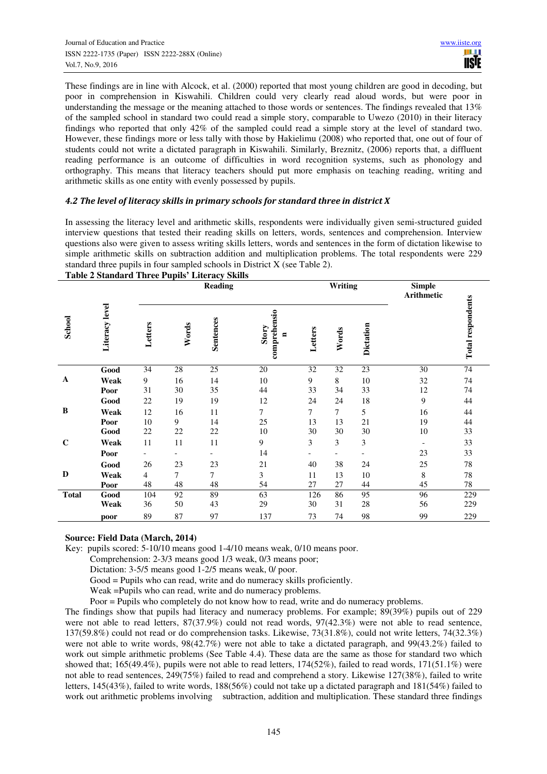These findings are in line with Alcock, et al. (2000) reported that most young children are good in decoding, but poor in comprehension in Kiswahili. Children could very clearly read aloud words, but were poor in understanding the message or the meaning attached to those words or sentences. The findings revealed that 13% of the sampled school in standard two could read a simple story, comparable to Uwezo (2010) in their literacy findings who reported that only 42% of the sampled could read a simple story at the level of standard two. However, these findings more or less tally with those by Hakielimu (2008) who reported that, one out of four of students could not write a dictated paragraph in Kiswahili. Similarly, Breznitz, (2006) reports that, a diffluent reading performance is an outcome of difficulties in word recognition systems, such as phonology and orthography. This means that literacy teachers should put more emphasis on teaching reading, writing and arithmetic skills as one entity with evenly possessed by pupils.

## *4.2 The level of literacy skills in primary schools for standard three in district X*

In assessing the literacy level and arithmetic skills, respondents were individually given semi-structured guided interview questions that tested their reading skills on letters, words, sentences and comprehension. Interview questions also were given to assess writing skills letters, words and sentences in the form of dictation likewise to simple arithmetic skills on subtraction addition and multiplication problems. The total respondents were 229 standard three pupils in four sampled schools in District X (see Table 2).

|                                                                                                                                                                                                                                                                                                                                                                                                                                                                                                                                                                                                                                                                                                                                                                                                                                                                                                                                                                                                                                                                     |                |                 | Table 2 Standard Three Pupils Enteracy Skills<br><b>Reading</b> |                 |                                         |                  | Writing         |           | <b>Simple</b><br>Arithmetic |                          |
|---------------------------------------------------------------------------------------------------------------------------------------------------------------------------------------------------------------------------------------------------------------------------------------------------------------------------------------------------------------------------------------------------------------------------------------------------------------------------------------------------------------------------------------------------------------------------------------------------------------------------------------------------------------------------------------------------------------------------------------------------------------------------------------------------------------------------------------------------------------------------------------------------------------------------------------------------------------------------------------------------------------------------------------------------------------------|----------------|-----------------|-----------------------------------------------------------------|-----------------|-----------------------------------------|------------------|-----------------|-----------|-----------------------------|--------------------------|
| School                                                                                                                                                                                                                                                                                                                                                                                                                                                                                                                                                                                                                                                                                                                                                                                                                                                                                                                                                                                                                                                              | Literacy level | Letters         | Words                                                           | Sentences       | comprehensio<br>Story<br>$\blacksquare$ | Letters          | Words           | Dictation |                             | <b>Total respondents</b> |
|                                                                                                                                                                                                                                                                                                                                                                                                                                                                                                                                                                                                                                                                                                                                                                                                                                                                                                                                                                                                                                                                     | Good           | $\overline{34}$ | $\overline{28}$                                                 | $\overline{25}$ | 20                                      | $\overline{32}$  | $\overline{32}$ | 23        | $\overline{30}$             | 74                       |
| A                                                                                                                                                                                                                                                                                                                                                                                                                                                                                                                                                                                                                                                                                                                                                                                                                                                                                                                                                                                                                                                                   | Weak           | 9               | 16                                                              | 14              | $10\,$                                  | $\boldsymbol{9}$ | $\,8\,$         | 10        | 32                          | 74                       |
|                                                                                                                                                                                                                                                                                                                                                                                                                                                                                                                                                                                                                                                                                                                                                                                                                                                                                                                                                                                                                                                                     | Poor           | 31              | 30                                                              | 35              | $44$                                    | 33               | 34              | 33        | 12                          | $74\,$                   |
|                                                                                                                                                                                                                                                                                                                                                                                                                                                                                                                                                                                                                                                                                                                                                                                                                                                                                                                                                                                                                                                                     | Good           | 22              | 19                                                              | 19              | 12                                      | 24               | 24              | 18        | $\overline{9}$              | 44                       |
| B                                                                                                                                                                                                                                                                                                                                                                                                                                                                                                                                                                                                                                                                                                                                                                                                                                                                                                                                                                                                                                                                   | Weak           | 12              | 16                                                              | 11              | $\overline{7}$                          | $\overline{7}$   | $\overline{7}$  | 5         | 16                          | 44                       |
|                                                                                                                                                                                                                                                                                                                                                                                                                                                                                                                                                                                                                                                                                                                                                                                                                                                                                                                                                                                                                                                                     | Poor           | 10              | 9                                                               | 14              | 25                                      | 13               | 13              | 21        | 19                          | $44\,$                   |
|                                                                                                                                                                                                                                                                                                                                                                                                                                                                                                                                                                                                                                                                                                                                                                                                                                                                                                                                                                                                                                                                     | Good           | 22              | 22                                                              | $22\,$          | 10                                      | 30               | 30              | 30        | 10                          | 33                       |
| $\mathbf C$                                                                                                                                                                                                                                                                                                                                                                                                                                                                                                                                                                                                                                                                                                                                                                                                                                                                                                                                                                                                                                                         | Weak           | 11              | 11                                                              | 11              | 9                                       | 3                | 3               | 3         | $\overline{\phantom{a}}$    | 33                       |
|                                                                                                                                                                                                                                                                                                                                                                                                                                                                                                                                                                                                                                                                                                                                                                                                                                                                                                                                                                                                                                                                     | Poor           |                 |                                                                 |                 | 14                                      | $\overline{a}$   |                 |           | 23                          | 33                       |
|                                                                                                                                                                                                                                                                                                                                                                                                                                                                                                                                                                                                                                                                                                                                                                                                                                                                                                                                                                                                                                                                     | Good           | 26              | 23                                                              | 23              | 21                                      | 40               | 38              | 24        | 25                          | $78\,$                   |
| D                                                                                                                                                                                                                                                                                                                                                                                                                                                                                                                                                                                                                                                                                                                                                                                                                                                                                                                                                                                                                                                                   | Weak           | $\overline{4}$  | $\tau$                                                          | $\tau$          | $\overline{\mathbf{3}}$                 | 11               | 13              | 10        | $\,8\,$                     | $78\,$                   |
|                                                                                                                                                                                                                                                                                                                                                                                                                                                                                                                                                                                                                                                                                                                                                                                                                                                                                                                                                                                                                                                                     | Poor           | 48              | 48                                                              | 48              | 54                                      | 27               | $27\,$          | 44        | 45                          | $78\,$                   |
| <b>Total</b>                                                                                                                                                                                                                                                                                                                                                                                                                                                                                                                                                                                                                                                                                                                                                                                                                                                                                                                                                                                                                                                        | Good           | 104             | 92                                                              | 89              | 63                                      | 126              | 86              | 95        | 96                          | 229                      |
|                                                                                                                                                                                                                                                                                                                                                                                                                                                                                                                                                                                                                                                                                                                                                                                                                                                                                                                                                                                                                                                                     | Weak           | 36              | 50                                                              | 43              | 29                                      | $30\,$           | 31              | $28\,$    | 56                          | 229                      |
|                                                                                                                                                                                                                                                                                                                                                                                                                                                                                                                                                                                                                                                                                                                                                                                                                                                                                                                                                                                                                                                                     | poor           | 89              | 87                                                              | 97              | 137                                     | 73               | 74              | 98        | 99                          | 229                      |
| Source: Field Data (March, 2014)<br>Key: pupils scored: 5-10/10 means good 1-4/10 means weak, 0/10 means poor.<br>Comprehension: 2-3/3 means good 1/3 weak, 0/3 means poor;<br>Dictation: 3-5/5 means good 1-2/5 means weak, 0/ poor.<br>Good = Pupils who can read, write and do numeracy skills proficiently.<br>Weak = Pupils who can read, write and do numeracy problems.<br>Poor = Pupils who completely do not know how to read, write and do numeracy problems.                                                                                                                                                                                                                                                                                                                                                                                                                                                                                                                                                                                             |                |                 |                                                                 |                 |                                         |                  |                 |           |                             |                          |
| The findings show that pupils had literacy and numeracy problems. For example; 89(39%) pupils out of 229<br>were not able to read letters, $87(37.9%)$ could not read words, $97(42.3%)$ were not able to read sentence,<br>137(59.8%) could not read or do comprehension tasks. Likewise, 73(31.8%), could not write letters, 74(32.3%)<br>were not able to write words, $98(42.7%)$ were not able to take a dictated paragraph, and $99(43.2%)$ failed to<br>work out simple arithmetic problems (See Table 4.4). These data are the same as those for standard two which<br>showed that; 165(49.4%), pupils were not able to read letters, $174(52\%)$ , failed to read words, $171(51.1\%)$ were<br>not able to read sentences, 249(75%) failed to read and comprehend a story. Likewise 127(38%), failed to write<br>letters, $145(43%)$ , failed to write words, $188(56%)$ could not take up a dictated paragraph and $181(54%)$ failed to<br>work out arithmetic problems involving subtraction, addition and multiplication. These standard three findings |                |                 |                                                                 |                 |                                         |                  |                 |           |                             |                          |

**Table 2 Standard Three Pupils' Literacy Skills** 

## **Source: Field Data (March, 2014)**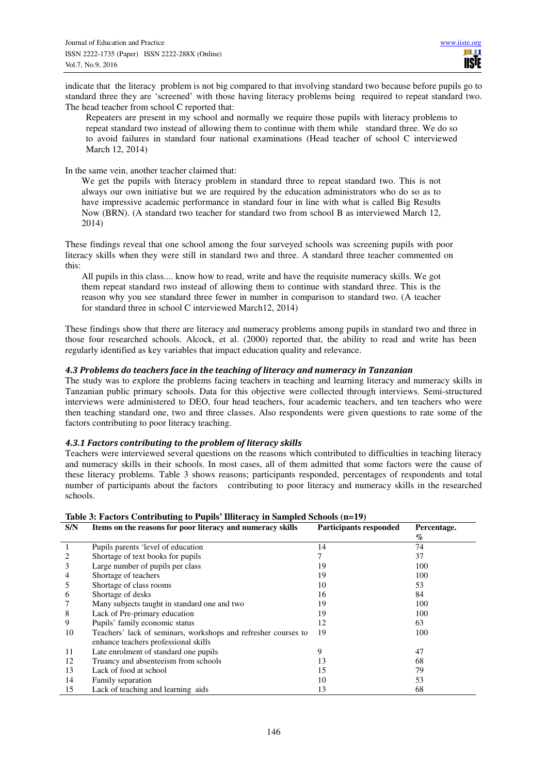indicate that the literacy problem is not big compared to that involving standard two because before pupils go to standard three they are 'screened' with those having literacy problems being required to repeat standard two. The head teacher from school C reported that:

Repeaters are present in my school and normally we require those pupils with literacy problems to repeat standard two instead of allowing them to continue with them while standard three. We do so to avoid failures in standard four national examinations (Head teacher of school C interviewed March 12, 2014)

In the same vein, another teacher claimed that:

We get the pupils with literacy problem in standard three to repeat standard two. This is not always our own initiative but we are required by the education administrators who do so as to have impressive academic performance in standard four in line with what is called Big Results Now (BRN). (A standard two teacher for standard two from school B as interviewed March 12, 2014)

These findings reveal that one school among the four surveyed schools was screening pupils with poor literacy skills when they were still in standard two and three. A standard three teacher commented on this:

All pupils in this class.... know how to read, write and have the requisite numeracy skills. We got them repeat standard two instead of allowing them to continue with standard three. This is the reason why you see standard three fewer in number in comparison to standard two. (A teacher for standard three in school C interviewed March12, 2014)

These findings show that there are literacy and numeracy problems among pupils in standard two and three in those four researched schools. Alcock, et al. (2000) reported that, the ability to read and write has been regularly identified as key variables that impact education quality and relevance.

## *4.3 Problems do teachers face in the teaching of literacy and numeracy in Tanzanian*

The study was to explore the problems facing teachers in teaching and learning literacy and numeracy skills in Tanzanian public primary schools. Data for this objective were collected through interviews. Semi-structured interviews were administered to DEO, four head teachers, four academic teachers, and ten teachers who were then teaching standard one, two and three classes. Also respondents were given questions to rate some of the factors contributing to poor literacy teaching.

## *4.3.1 Factors contributing to the problem of literacy skills*

Teachers were interviewed several questions on the reasons which contributed to difficulties in teaching literacy and numeracy skills in their schools. In most cases, all of them admitted that some factors were the cause of these literacy problems. Table 3 shows reasons; participants responded, percentages of respondents and total number of participants about the factors contributing to poor literacy and numeracy skills in the researched schools.

| Table 5: Factors Contributing to Fuplis Thiteracy in Sampleu Schools (II=19) |                                                                |                               |             |  |  |  |  |  |
|------------------------------------------------------------------------------|----------------------------------------------------------------|-------------------------------|-------------|--|--|--|--|--|
| S/N                                                                          | Items on the reasons for poor literacy and numeracy skills     | <b>Participants responded</b> | Percentage. |  |  |  |  |  |
|                                                                              |                                                                |                               | $\%$        |  |  |  |  |  |
|                                                                              | Pupils parents 'level of education                             | 14                            | 74          |  |  |  |  |  |
|                                                                              | Shortage of text books for pupils                              |                               | 37          |  |  |  |  |  |
| 3                                                                            | Large number of pupils per class                               | 19                            | 100         |  |  |  |  |  |
| 4                                                                            | Shortage of teachers                                           | 19                            | 100         |  |  |  |  |  |
| 5                                                                            | Shortage of class rooms                                        | 10                            | 53          |  |  |  |  |  |
| 6                                                                            | Shortage of desks                                              | 16                            | 84          |  |  |  |  |  |
|                                                                              | Many subjects taught in standard one and two                   | 19                            | 100         |  |  |  |  |  |
| 8                                                                            | Lack of Pre-primary education                                  | 19                            | 100         |  |  |  |  |  |
| 9                                                                            | Pupils' family economic status                                 | 12                            | 63          |  |  |  |  |  |
| 10                                                                           | Teachers' lack of seminars, workshops and refresher courses to | 19                            | 100         |  |  |  |  |  |
|                                                                              | enhance teachers professional skills                           |                               |             |  |  |  |  |  |
| 11                                                                           | Late enrolment of standard one pupils                          | 9                             | 47          |  |  |  |  |  |
| 12                                                                           | Truancy and absenteeism from schools                           | 13                            | 68          |  |  |  |  |  |
| 13                                                                           | Lack of food at school                                         | 15                            | 79          |  |  |  |  |  |
| 14                                                                           | Family separation                                              | 10                            | 53          |  |  |  |  |  |
| 15                                                                           | Lack of teaching and learning aids                             | 13                            | 68          |  |  |  |  |  |

**Table 3: Factors Contributing to Pupils' Illiteracy in Sampled Schools (n=19)**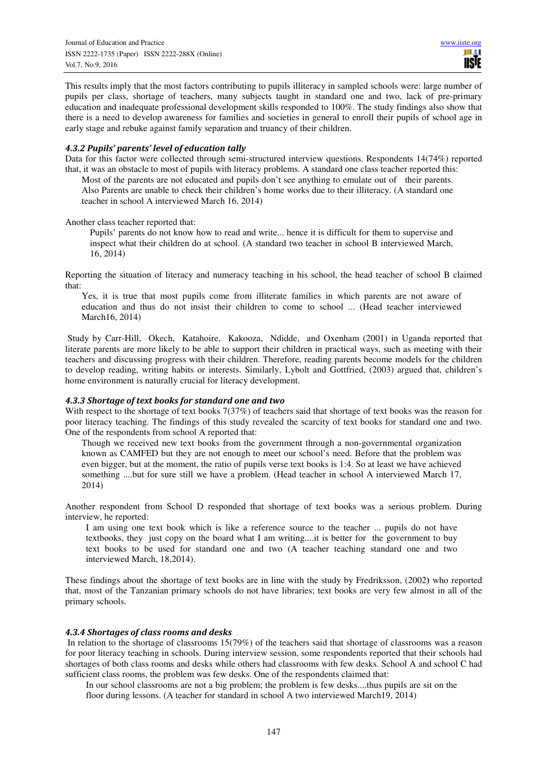This results imply that the most factors contributing to pupils illiteracy in sampled schools were: large number of pupils per class, shortage of teachers, many subjects taught in standard one and two, lack of pre-primary education and inadequate professional development skills responded to 100%. The study findings also show that there is a need to develop awareness for families and societies in general to enroll their pupils of school age in early stage and rebuke against family separation and truancy of their children.

#### *4.3.2 Pupils' parents' level of education tally*

Data for this factor were collected through semi-structured interview questions. Respondents 14(74%) reported that, it was an obstacle to most of pupils with literacy problems. A standard one class teacher reported this:

Most of the parents are not educated and pupils don't see anything to emulate out of their parents. Also Parents are unable to check their children's home works due to their illiteracy. (A standard one teacher in school A interviewed March 16, 2014)

Another class teacher reported that:

Pupils' parents do not know how to read and write... hence it is difficult for them to supervise and inspect what their children do at school. (A standard two teacher in school B interviewed March, 16, 2014)

Reporting the situation of literacy and numeracy teaching in his school, the head teacher of school B claimed that:

Yes, it is true that most pupils come from illiterate families in which parents are not aware of education and thus do not insist their children to come to school ... (Head teacher interviewed March16, 2014)

 Study by Carr-Hill, Okech, Katahoire, Kakooza, Ndidde, and Oxenham (2001) in Uganda reported that literate parents are more likely to be able to support their children in practical ways, such as meeting with their teachers and discussing progress with their children. Therefore, reading parents become models for the children to develop reading, writing habits or interests. Similarly, Lybolt and Gottfried, (2003) argued that, children's home environment is naturally crucial for literacy development.

## *4.3.3 Shortage of text books for standard one and two*

With respect to the shortage of text books 7(37%) of teachers said that shortage of text books was the reason for poor literacy teaching. The findings of this study revealed the scarcity of text books for standard one and two. One of the respondents from school A reported that:

Though we received new text books from the government through a non-governmental organization known as CAMFED but they are not enough to meet our school's need. Before that the problem was even bigger, but at the moment, the ratio of pupils verse text books is 1:4. So at least we have achieved something ....but for sure still we have a problem. (Head teacher in school A interviewed March 17, 2014)

Another respondent from School D responded that shortage of text books was a serious problem. During interview, he reported:

I am using one text book which is like a reference source to the teacher ... pupils do not have textbooks, they just copy on the board what I am writing....it is better for the government to buy text books to be used for standard one and two (A teacher teaching standard one and two interviewed March, 18,2014).

These findings about the shortage of text books are in line with the study by Fredriksson, (2002**)** who reported that, most of the Tanzanian primary schools do not have libraries; text books are very few almost in all of the primary schools.

## *4.3.4 Shortages of class rooms and desks*

 In relation to the shortage of classrooms 15(79%) of the teachers said that shortage of classrooms was a reason for poor literacy teaching in schools. During interview session, some respondents reported that their schools had shortages of both class rooms and desks while others had classrooms with few desks. School A and school C had sufficient class rooms, the problem was few desks. One of the respondents claimed that:

In our school classrooms are not a big problem; the problem is few desks....thus pupils are sit on the floor during lessons. (A teacher for standard in school A two interviewed March19, 2014)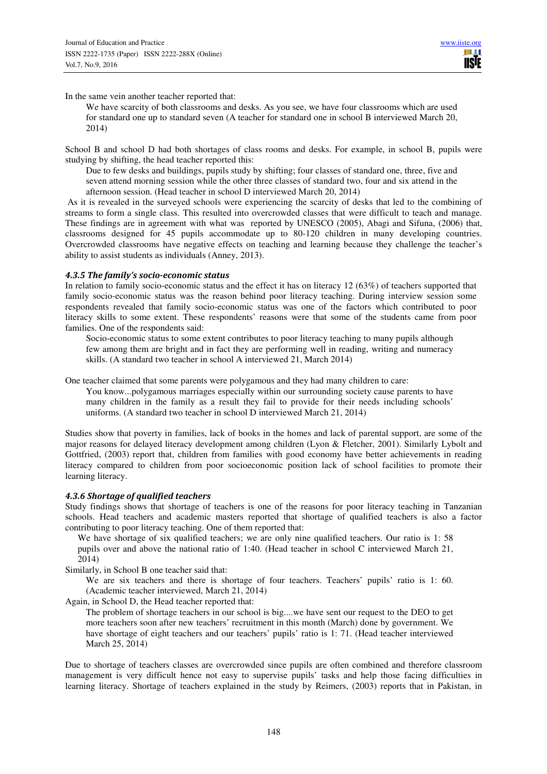In the same vein another teacher reported that:

We have scarcity of both classrooms and desks. As you see, we have four classrooms which are used for standard one up to standard seven (A teacher for standard one in school B interviewed March 20, 2014)

School B and school D had both shortages of class rooms and desks. For example, in school B, pupils were studying by shifting, the head teacher reported this:

Due to few desks and buildings, pupils study by shifting; four classes of standard one, three, five and seven attend morning session while the other three classes of standard two, four and six attend in the afternoon session. (Head teacher in school D interviewed March 20, 2014)

 As it is revealed in the surveyed schools were experiencing the scarcity of desks that led to the combining of streams to form a single class. This resulted into overcrowded classes that were difficult to teach and manage. These findings are in agreement with what was reported by UNESCO (2005), Abagi and Sifuna, (2006) that, classrooms designed for 45 pupils accommodate up to 80-120 children in many developing countries. Overcrowded classrooms have negative effects on teaching and learning because they challenge the teacher's ability to assist students as individuals (Anney, 2013).

#### *4.3.5 The family's socio-economic status*

In relation to family socio-economic status and the effect it has on literacy 12 (63%) of teachers supported that family socio-economic status was the reason behind poor literacy teaching. During interview session some respondents revealed that family socio-economic status was one of the factors which contributed to poor literacy skills to some extent. These respondents' reasons were that some of the students came from poor families. One of the respondents said:

Socio-economic status to some extent contributes to poor literacy teaching to many pupils although few among them are bright and in fact they are performing well in reading, writing and numeracy skills. (A standard two teacher in school A interviewed 21, March 2014)

One teacher claimed that some parents were polygamous and they had many children to care:

You know...polygamous marriages especially within our surrounding society cause parents to have many children in the family as a result they fail to provide for their needs including schools' uniforms. (A standard two teacher in school D interviewed March 21, 2014)

Studies show that poverty in families, lack of books in the homes and lack of parental support, are some of the major reasons for delayed literacy development among children (Lyon & Fletcher, 2001). Similarly Lybolt and Gottfried, (2003) report that, children from families with good economy have better achievements in reading literacy compared to children from poor socioeconomic position lack of school facilities to promote their learning literacy.

## *4.3.6 Shortage of qualified teachers*

Study findings shows that shortage of teachers is one of the reasons for poor literacy teaching in Tanzanian schools. Head teachers and academic masters reported that shortage of qualified teachers is also a factor contributing to poor literacy teaching. One of them reported that:

We have shortage of six qualified teachers; we are only nine qualified teachers. Our ratio is 1: 58 pupils over and above the national ratio of 1:40. (Head teacher in school C interviewed March 21, 2014)

Similarly, in School B one teacher said that:

We are six teachers and there is shortage of four teachers. Teachers' pupils' ratio is 1: 60. (Academic teacher interviewed, March 21, 2014)

Again, in School D, the Head teacher reported that:

The problem of shortage teachers in our school is big....we have sent our request to the DEO to get more teachers soon after new teachers' recruitment in this month (March) done by government. We have shortage of eight teachers and our teachers' pupils' ratio is 1: 71. (Head teacher interviewed March 25, 2014)

Due to shortage of teachers classes are overcrowded since pupils are often combined and therefore classroom management is very difficult hence not easy to supervise pupils' tasks and help those facing difficulties in learning literacy. Shortage of teachers explained in the study by Reimers, (2003) reports that in Pakistan, in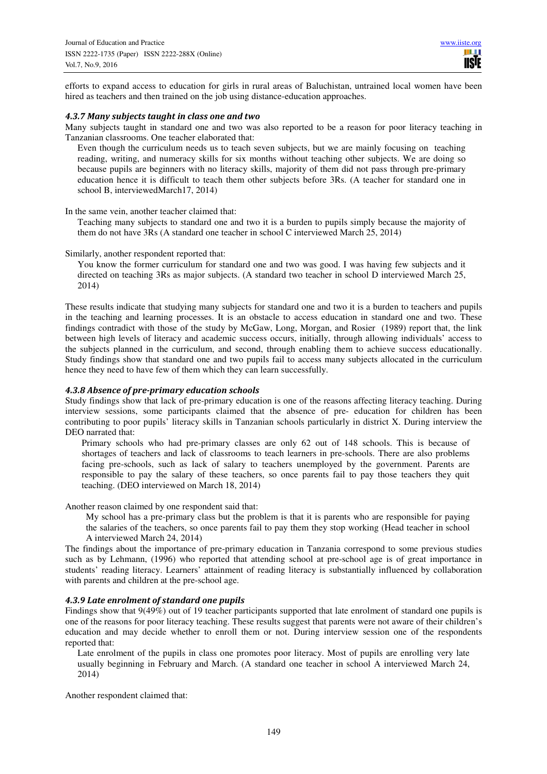efforts to expand access to education for girls in rural areas of Baluchistan, untrained local women have been hired as teachers and then trained on the job using distance-education approaches.

#### *4.3.7 Many subjects taught in class one and two*

Many subjects taught in standard one and two was also reported to be a reason for poor literacy teaching in Tanzanian classrooms. One teacher elaborated that:

Even though the curriculum needs us to teach seven subjects, but we are mainly focusing on teaching reading, writing, and numeracy skills for six months without teaching other subjects. We are doing so because pupils are beginners with no literacy skills, majority of them did not pass through pre-primary education hence it is difficult to teach them other subjects before 3Rs. (A teacher for standard one in school B, interviewedMarch17, 2014)

In the same vein, another teacher claimed that:

Teaching many subjects to standard one and two it is a burden to pupils simply because the majority of them do not have 3Rs (A standard one teacher in school C interviewed March 25, 2014)

Similarly, another respondent reported that:

You know the former curriculum for standard one and two was good. I was having few subjects and it directed on teaching 3Rs as major subjects. (A standard two teacher in school D interviewed March 25, 2014)

These results indicate that studying many subjects for standard one and two it is a burden to teachers and pupils in the teaching and learning processes. It is an obstacle to access education in standard one and two. These findings contradict with those of the study by McGaw, Long, Morgan, and Rosier (1989) report that, the link between high levels of literacy and academic success occurs, initially, through allowing individuals' access to the subjects planned in the curriculum, and second, through enabling them to achieve success educationally. Study findings show that standard one and two pupils fail to access many subjects allocated in the curriculum hence they need to have few of them which they can learn successfully.

## *4.3.8 Absence of pre-primary education schools*

Study findings show that lack of pre-primary education is one of the reasons affecting literacy teaching. During interview sessions, some participants claimed that the absence of pre- education for children has been contributing to poor pupils' literacy skills in Tanzanian schools particularly in district X. During interview the DEO narrated that:

Primary schools who had pre-primary classes are only 62 out of 148 schools. This is because of shortages of teachers and lack of classrooms to teach learners in pre-schools. There are also problems facing pre-schools, such as lack of salary to teachers unemployed by the government. Parents are responsible to pay the salary of these teachers, so once parents fail to pay those teachers they quit teaching. (DEO interviewed on March 18, 2014)

Another reason claimed by one respondent said that:

My school has a pre-primary class but the problem is that it is parents who are responsible for paying the salaries of the teachers, so once parents fail to pay them they stop working (Head teacher in school A interviewed March 24, 2014)

The findings about the importance of pre-primary education in Tanzania correspond to some previous studies such as by Lehmann, (1996) who reported that attending school at pre-school age is of great importance in students' reading literacy. Learners' attainment of reading literacy is substantially influenced by collaboration with parents and children at the pre-school age.

## *4.3.9 Late enrolment of standard one pupils*

Findings show that  $9(49\%)$  out of 19 teacher participants supported that late enrolment of standard one pupils is one of the reasons for poor literacy teaching. These results suggest that parents were not aware of their children's education and may decide whether to enroll them or not. During interview session one of the respondents reported that:

Late enrolment of the pupils in class one promotes poor literacy. Most of pupils are enrolling very late usually beginning in February and March. (A standard one teacher in school A interviewed March 24, 2014)

Another respondent claimed that: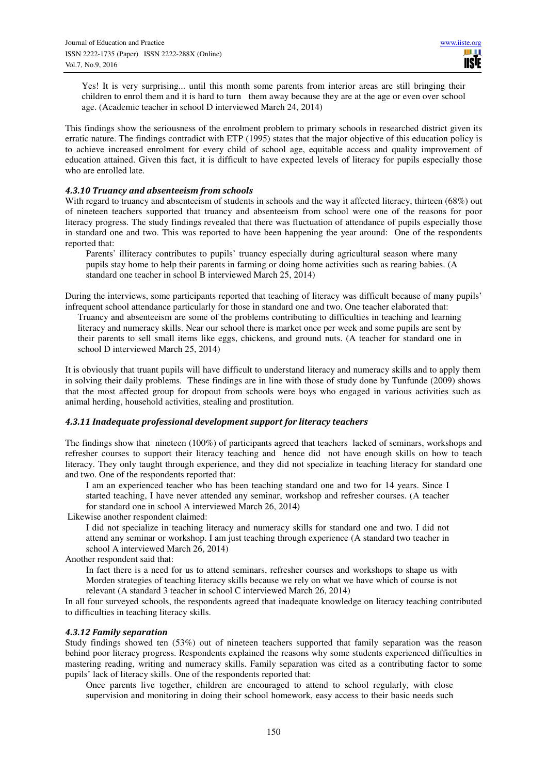Yes! It is very surprising... until this month some parents from interior areas are still bringing their children to enrol them and it is hard to turn them away because they are at the age or even over school age. (Academic teacher in school D interviewed March 24, 2014)

This findings show the seriousness of the enrolment problem to primary schools in researched district given its erratic nature. The findings contradict with ETP (1995) states that the major objective of this education policy is to achieve increased enrolment for every child of school age, equitable access and quality improvement of education attained. Given this fact, it is difficult to have expected levels of literacy for pupils especially those who are enrolled late.

## *4.3.10 Truancy and absenteeism from schools*

With regard to truancy and absenteeism of students in schools and the way it affected literacy, thirteen (68%) out of nineteen teachers supported that truancy and absenteeism from school were one of the reasons for poor literacy progress. The study findings revealed that there was fluctuation of attendance of pupils especially those in standard one and two. This was reported to have been happening the year around: One of the respondents reported that:

Parents' illiteracy contributes to pupils' truancy especially during agricultural season where many pupils stay home to help their parents in farming or doing home activities such as rearing babies. (A standard one teacher in school B interviewed March 25, 2014)

During the interviews, some participants reported that teaching of literacy was difficult because of many pupils' infrequent school attendance particularly for those in standard one and two. One teacher elaborated that:

Truancy and absenteeism are some of the problems contributing to difficulties in teaching and learning literacy and numeracy skills. Near our school there is market once per week and some pupils are sent by their parents to sell small items like eggs, chickens, and ground nuts. (A teacher for standard one in school D interviewed March 25, 2014)

It is obviously that truant pupils will have difficult to understand literacy and numeracy skills and to apply them in solving their daily problems. These findings are in line with those of study done by Tunfunde (2009) shows that the most affected group for dropout from schools were boys who engaged in various activities such as animal herding, household activities, stealing and prostitution.

#### *4.3.11 Inadequate professional development support for literacy teachers*

The findings show that nineteen (100%) of participants agreed that teachers lacked of seminars, workshops and refresher courses to support their literacy teaching and hence did not have enough skills on how to teach literacy. They only taught through experience, and they did not specialize in teaching literacy for standard one and two. One of the respondents reported that:

I am an experienced teacher who has been teaching standard one and two for 14 years. Since I started teaching, I have never attended any seminar, workshop and refresher courses. (A teacher for standard one in school A interviewed March 26, 2014)

Likewise another respondent claimed:

I did not specialize in teaching literacy and numeracy skills for standard one and two. I did not attend any seminar or workshop. I am just teaching through experience (A standard two teacher in school A interviewed March 26, 2014)

Another respondent said that:

In fact there is a need for us to attend seminars, refresher courses and workshops to shape us with Morden strategies of teaching literacy skills because we rely on what we have which of course is not relevant (A standard 3 teacher in school C interviewed March 26, 2014)

In all four surveyed schools, the respondents agreed that inadequate knowledge on literacy teaching contributed to difficulties in teaching literacy skills.

#### *4.3.12 Family separation*

Study findings showed ten (53%) out of nineteen teachers supported that family separation was the reason behind poor literacy progress. Respondents explained the reasons why some students experienced difficulties in mastering reading, writing and numeracy skills. Family separation was cited as a contributing factor to some pupils' lack of literacy skills. One of the respondents reported that:

Once parents live together, children are encouraged to attend to school regularly, with close supervision and monitoring in doing their school homework, easy access to their basic needs such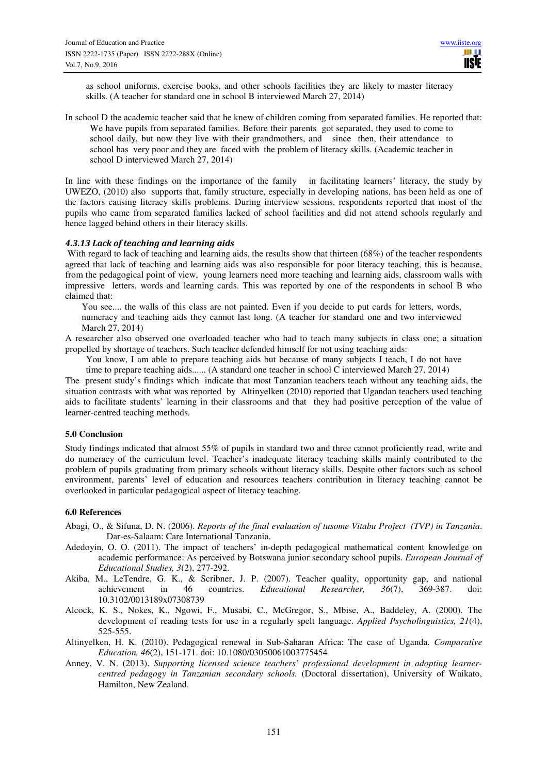as school uniforms, exercise books, and other schools facilities they are likely to master literacy skills. (A teacher for standard one in school B interviewed March 27, 2014)

In school D the academic teacher said that he knew of children coming from separated families. He reported that: We have pupils from separated families. Before their parents got separated, they used to come to school daily, but now they live with their grandmothers, and since then, their attendance to school has very poor and they are faced with the problem of literacy skills. (Academic teacher in school D interviewed March 27, 2014)

In line with these findings on the importance of the family in facilitating learners' literacy, the study by UWEZO, (2010) also supports that, family structure, especially in developing nations, has been held as one of the factors causing literacy skills problems. During interview sessions, respondents reported that most of the pupils who came from separated families lacked of school facilities and did not attend schools regularly and hence lagged behind others in their literacy skills.

#### *4.3.13 Lack of teaching and learning aids*

With regard to lack of teaching and learning aids, the results show that thirteen (68%) of the teacher respondents agreed that lack of teaching and learning aids was also responsible for poor literacy teaching, this is because, from the pedagogical point of view, young learners need more teaching and learning aids, classroom walls with impressive letters, words and learning cards. This was reported by one of the respondents in school B who claimed that:

You see.... the walls of this class are not painted. Even if you decide to put cards for letters, words, numeracy and teaching aids they cannot last long. (A teacher for standard one and two interviewed March 27, 2014)

A researcher also observed one overloaded teacher who had to teach many subjects in class one; a situation propelled by shortage of teachers. Such teacher defended himself for not using teaching aids:

You know, I am able to prepare teaching aids but because of many subjects I teach, I do not have

time to prepare teaching aids...... (A standard one teacher in school C interviewed March 27, 2014)

The present study's findings which indicate that most Tanzanian teachers teach without any teaching aids, the situation contrasts with what was reported by Altinyelken (2010) reported that Ugandan teachers used teaching aids to facilitate students' learning in their classrooms and that they had positive perception of the value of learner-centred teaching methods.

#### **5.0 Conclusion**

Study findings indicated that almost 55% of pupils in standard two and three cannot proficiently read, write and do numeracy of the curriculum level. Teacher's inadequate literacy teaching skills mainly contributed to the problem of pupils graduating from primary schools without literacy skills. Despite other factors such as school environment, parents' level of education and resources teachers contribution in literacy teaching cannot be overlooked in particular pedagogical aspect of literacy teaching.

#### **6.0 References**

- Abagi, O., & Sifuna, D. N. (2006). *Reports of the final evaluation of tusome Vitabu Project (TVP) in Tanzania*. Dar-es-Salaam: Care International Tanzania.
- Adedoyin, O. O. (2011). The impact of teachers' in-depth pedagogical mathematical content knowledge on academic performance: As perceived by Botswana junior secondary school pupils. *European Journal of Educational Studies, 3*(2), 277-292.
- Akiba, M., LeTendre, G. K., & Scribner, J. P. (2007). Teacher quality, opportunity gap, and national achievement in 46 countries. *Educational Researcher*. 36(7). 369-387. doi: achievement in 46 countries. *Educational Researcher, 36*(7), 369-387. doi: 10.3102/0013189x07308739
- Alcock, K. S., Nokes, K., Ngowi, F., Musabi, C., McGregor, S., Mbise, A., Baddeley, A. (2000). The development of reading tests for use in a regularly spelt language. *Applied Psycholinguistics, 21*(4), 525-555.
- Altinyelken, H. K. (2010). Pedagogical renewal in Sub-Saharan Africa: The case of Uganda. *Comparative Education, 46*(2), 151-171. doi: 10.1080/03050061003775454
- Anney, V. N. (2013). *Supporting licensed science teachers' professional development in adopting learnercentred pedagogy in Tanzanian secondary schools.* (Doctoral dissertation), University of Waikato, Hamilton, New Zealand.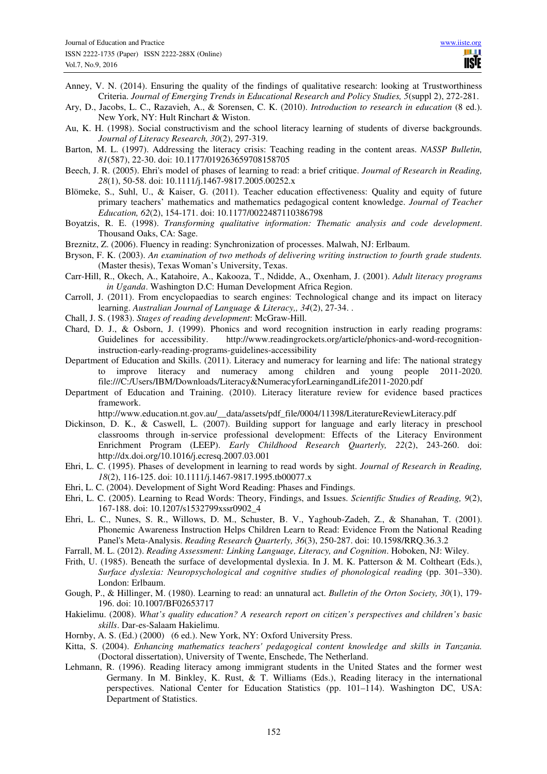- Anney, V. N. (2014). Ensuring the quality of the findings of qualitative research: looking at Trustworthiness Criteria. *Journal of Emerging Trends in Educational Research and Policy Studies, 5*(suppl 2), 272-281.
- Ary, D., Jacobs, L. C., Razavieh, A., & Sorensen, C. K. (2010). *Introduction to research in education* (8 ed.). New York, NY: Hult Rinchart & Wiston.
- Au, K. H. (1998). Social constructivism and the school literacy learning of students of diverse backgrounds. *Journal of Literacy Research, 30*(2), 297-319.
- Barton, M. L. (1997). Addressing the literacy crisis: Teaching reading in the content areas. *NASSP Bulletin, 81*(587), 22-30. doi: 10.1177/019263659708158705
- Beech, J. R. (2005). Ehri's model of phases of learning to read: a brief critique. *Journal of Research in Reading, 28*(1), 50-58. doi: 10.1111/j.1467-9817.2005.00252.x
- Blömeke, S., Suhl, U., & Kaiser, G. (2011). Teacher education effectiveness: Quality and equity of future primary teachers' mathematics and mathematics pedagogical content knowledge. *Journal of Teacher Education, 62*(2), 154-171. doi: 10.1177/0022487110386798
- Boyatzis, R. E. (1998). *Transforming qualitative information: Thematic analysis and code development*. Thousand Oaks, CA: Sage.
- Breznitz, Z. (2006). Fluency in reading: Synchronization of processes. Malwah, NJ: Erlbaum.
- Bryson, F. K. (2003). *An examination of two methods of delivering writing instruction to fourth grade students.* (Master thesis), Texas Woman's University, Texas.
- Carr-Hill, R., Okech, A., Katahoire, A., Kakooza, T., Ndidde, A., Oxenham, J. (2001). *Adult literacy programs in Uganda*. Washington D.C: Human Development Africa Region.
- Carroll, J. (2011). From encyclopaedias to search engines: Technological change and its impact on literacy learning. *Australian Journal of Language & Literacy,, 34*(2), 27-34. .
- Chall, J. S. (1983). *Stages of reading development*: McGraw-Hill.
- Chard, D. J., & Osborn, J. (1999). Phonics and word recognition instruction in early reading programs: Guidelines for accessibility. http://www.readingrockets.org/article/phonics-and-word-recognitioninstruction-early-reading-programs-guidelines-accessibility
- Department of Education and Skills. (2011). Literacy and numeracy for learning and life: The national strategy to improve literacy and numeracy among children and young people 2011-2020. file:///C:/Users/IBM/Downloads/Literacy&NumeracyforLearningandLife2011-2020.pdf
- Department of Education and Training. (2010). Literacy literature review for evidence based practices framework.

http://www.education.nt.gov.au/\_\_data/assets/pdf\_file/0004/11398/LiteratureReviewLiteracy.pdf

- Dickinson, D. K., & Caswell, L. (2007). Building support for language and early literacy in preschool classrooms through in-service professional development: Effects of the Literacy Environment Enrichment Program (LEEP). *Early Childhood Research Quarterly, 22*(2), 243-260. doi: http://dx.doi.org/10.1016/j.ecresq.2007.03.001
- Ehri, L. C. (1995). Phases of development in learning to read words by sight. *Journal of Research in Reading, 18*(2), 116-125. doi: 10.1111/j.1467-9817.1995.tb00077.x
- Ehri, L. C. (2004). Development of Sight Word Reading: Phases and Findings.
- Ehri, L. C. (2005). Learning to Read Words: Theory, Findings, and Issues. *Scientific Studies of Reading, 9*(2), 167-188. doi: 10.1207/s1532799xssr0902\_4
- Ehri, L. C., Nunes, S. R., Willows, D. M., Schuster, B. V., Yaghoub-Zadeh, Z., & Shanahan, T. (2001). Phonemic Awareness Instruction Helps Children Learn to Read: Evidence From the National Reading Panel's Meta-Analysis. *Reading Research Quarterly, 36*(3), 250-287. doi: 10.1598/RRQ.36.3.2
- Farrall, M. L. (2012). *Reading Assessment: Linking Language, Literacy, and Cognition*. Hoboken, NJ: Wiley.
- Frith, U. (1985). Beneath the surface of developmental dyslexia. In J. M. K. Patterson & M. Coltheart (Eds.), *Surface dyslexia: Neuropsychological and cognitive studies of phonological reading* (pp. 301–330). London: Erlbaum.
- Gough, P., & Hillinger, M. (1980). Learning to read: an unnatural act. *Bulletin of the Orton Society, 30*(1), 179- 196. doi: 10.1007/BF02653717
- Hakielimu. (2008). *What's quality education? A research report on citizen's perspectives and children's basic skills*. Dar-es-Salaam Hakielimu.
- Hornby, A. S. (Ed.) (2000) (6 ed.). New York, NY: Oxford University Press.
- Kitta, S. (2004). *Enhancing mathematics teachers' pedagogical content knowledge and skills in Tanzania.* (Doctoral dissertation), University of Twente, Enschede, The Netherland.
- Lehmann, R. (1996). Reading literacy among immigrant students in the United States and the former west Germany. In M. Binkley, K. Rust, & T. Williams (Eds.), Reading literacy in the international perspectives. National Center for Education Statistics (pp. 101–114). Washington DC, USA: Department of Statistics.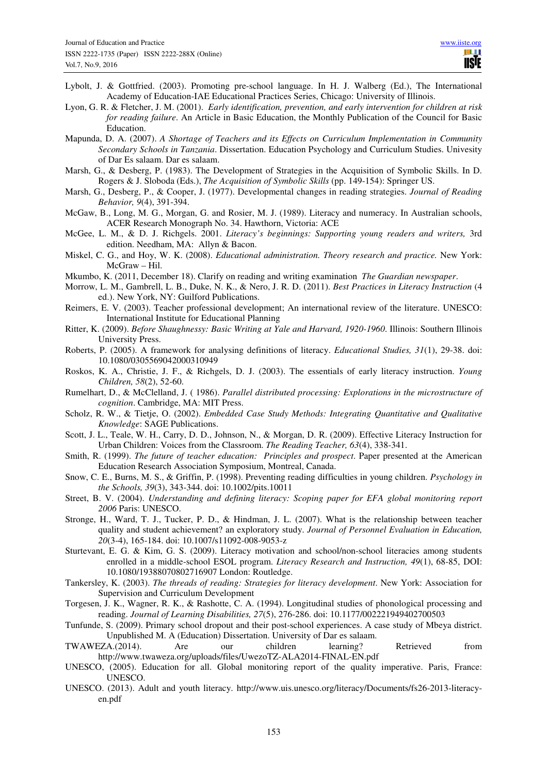- Lybolt, J. & Gottfried. (2003). Promoting pre-school language. In H. J. Walberg (Ed.), The International Academy of Education-IAE Educational Practices Series, Chicago: University of Illinois.
- Lyon, G. R. & Fletcher, J. M. (2001). *Early identification, prevention, and early intervention for children at risk for reading failure*. An Article in Basic Education, the Monthly Publication of the Council for Basic Education.
- Mapunda, D. A. (2007). *A Shortage of Teachers and its Effects on Curriculum Implementation in Community Secondary Schools in Tanzania*. Dissertation. Education Psychology and Curriculum Studies. Univesity of Dar Es salaam. Dar es salaam.
- Marsh, G., & Desberg, P. (1983). The Development of Strategies in the Acquisition of Symbolic Skills. In D. Rogers & J. Sloboda (Eds.), *The Acquisition of Symbolic Skills* (pp. 149-154): Springer US.
- Marsh, G., Desberg, P., & Cooper, J. (1977). Developmental changes in reading strategies. *Journal of Reading Behavior, 9*(4), 391-394.
- McGaw, B., Long, M. G., Morgan, G. and Rosier, M. J. (1989). Literacy and numeracy. In Australian schools, ACER Research Monograph No. 34. Hawthorn, Victoria: ACE
- McGee, L. M., & D. J. Richgels. 2001. *Literacy's beginnings: Supporting young readers and writers,* 3rd edition. Needham, MA: Allyn & Bacon.
- Miskel, C. G., and Hoy, W. K. (2008). *Educational administration. Theory research and practice.* New York: McGraw – Hil.
- Mkumbo, K. (2011, December 18). Clarify on reading and writing examination *The Guardian newspaper*.
- Morrow, L. M., Gambrell, L. B., Duke, N. K., & Nero, J. R. D. (2011). *Best Practices in Literacy Instruction* (4 ed.). New York, NY: Guilford Publications.
- Reimers, E. V. (2003). Teacher professional development; An international review of the literature. UNESCO: International Institute for Educational Planning
- Ritter, K. (2009). *Before Shaughnessy: Basic Writing at Yale and Harvard, 1920-1960*. Illinois: Southern Illinois University Press.
- Roberts, P. (2005). A framework for analysing definitions of literacy. *Educational Studies, 31*(1), 29-38. doi: 10.1080/0305569042000310949
- Roskos, K. A., Christie, J. F., & Richgels, D. J. (2003). The essentials of early literacy instruction. *Young Children, 58*(2), 52-60.
- Rumelhart, D., & McClelland, J. ( 1986). *Parallel distributed processing: Explorations in the microstructure of cognition*. Cambridge, MA: MIT Press.
- Scholz, R. W., & Tietje, O. (2002). *Embedded Case Study Methods: Integrating Quantitative and Qualitative Knowledge*: SAGE Publications.
- Scott, J. L., Teale, W. H., Carry, D. D., Johnson, N., & Morgan, D. R. (2009). Effective Literacy Instruction for Urban Children: Voices from the Classroom. *The Reading Teacher, 63*(4), 338-341.
- Smith, R. (1999). *The future of teacher education: Principles and prospect*. Paper presented at the American Education Research Association Symposium, Montreal, Canada.
- Snow, C. E., Burns, M. S., & Griffin, P. (1998). Preventing reading difficulties in young children. *Psychology in the Schools, 39*(3), 343-344. doi: 10.1002/pits.10011
- Street, B. V. (2004). *Understanding and defining literacy: Scoping paper for EFA global monitoring report 2006* Paris: UNESCO.
- Stronge, H., Ward, T. J., Tucker, P. D., & Hindman, J. L. (2007). What is the relationship between teacher quality and student achievement? an exploratory study. *Journal of Personnel Evaluation in Education, 20*(3-4), 165-184. doi: 10.1007/s11092-008-9053-z
- Sturtevant, E. G. & Kim, G. S. (2009). Literacy motivation and school/non-school literacies among students enrolled in a middle-school ESOL program. *Literacy Research and Instruction, 49*(1), 68-85, DOI: 10.1080/19388070802716907 London: Routledge.
- Tankersley, K. (2003). *The threads of reading: Strategies for literacy development*. New York: Association for Supervision and Curriculum Development
- Torgesen, J. K., Wagner, R. K., & Rashotte, C. A. (1994). Longitudinal studies of phonological processing and reading. *Journal of Learning Disabilities, 27*(5), 276-286. doi: 10.1177/002221949402700503
- Tunfunde, S. (2009). Primary school dropout and their post-school experiences. A case study of Mbeya district. Unpublished M. A (Education) Dissertation. University of Dar es salaam.
- TWAWEZA.(2014). Are our children learning? Retrieved from http://www.twaweza.org/uploads/files/UwezoTZ-ALA2014-FINAL-EN.pdf
- UNESCO, (2005). Education for all. Global monitoring report of the quality imperative. Paris, France: UNESCO.
- UNESCO. (2013). Adult and youth literacy. http://www.uis.unesco.org/literacy/Documents/fs26-2013-literacyen.pdf